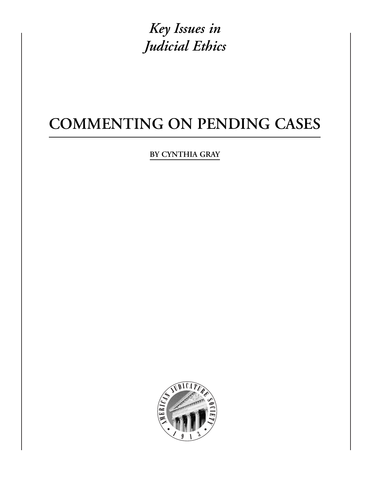*Key Issues in Judicial Ethics*

# **COMMENTING ON PENDING CASES**

**BY CYNTHIA GRAY**

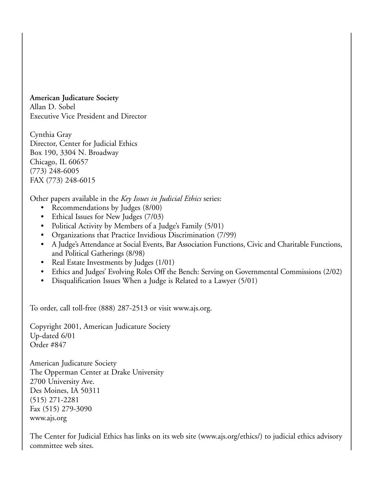**American Judicature Society** Allan D. Sobel Executive Vice President and Director

Cynthia Gray Director, Center for Judicial Ethics Box 190, 3304 N. Broadway Chicago, IL 60657 (773) 248-6005 FAX (773) 248-6015

Other papers available in the *Key Issues in Judicial Ethics* series:

- Recommendations by Judges (8/00)
- Ethical Issues for New Judges (7/03)
- Political Activity by Members of a Judge's Family (5/01)
- Organizations that Practice Invidious Discrimination (7/99)
- A Judge's Attendance at Social Events, Bar Association Functions, Civic and Charitable Functions, and Political Gatherings (8/98)
- Real Estate Investments by Judges (1/01)
- Ethics and Judges' Evolving Roles Off the Bench: Serving on Governmental Commissions (2/02)
- Disqualification Issues When a Judge is Related to a Lawyer (5/01)

To order, call toll-free (888) 287-2513 or visit www.ajs.org.

Copyright 2001, American Judicature Society Up-dated 6/01 Order #847

American Judicature Society The Opperman Center at Drake University 2700 University Ave. Des Moines, IA 50311 (515) 271-2281 Fax (515) 279-3090 www.ajs.org

The Center for Judicial Ethics has links on its web site (www.ajs.org/ethics/) to judicial ethics advisory committee web sites.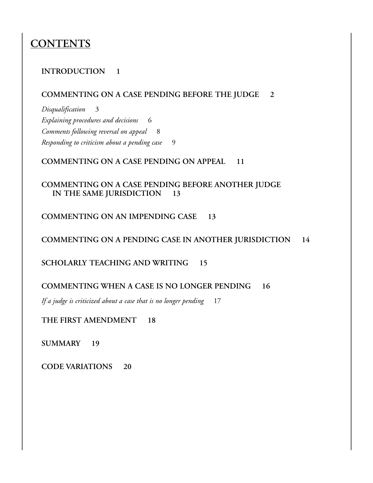### **CONTENTS**

#### **INTRODUCTION 1**

#### **COMMENTING ON A CASE PENDING BEFORE THE JUDGE 2**

*Disqualification* 3 *Explaining procedures and decisions* 6 *Comments following reversal on appeal* 8 *Responding to criticism about a pending case* 9

#### **COMMENTING ON A CASE PENDING ON APPEAL 11**

#### **COMMENTING ON A CASE PENDING BEFORE ANOTHER JUDGE IN THE SAME JURISDICTION 13**

**COMMENTING ON AN IMPENDING CASE 13**

**COMMENTING ON A PENDING CASE IN ANOTHER JURISDICTION 14**

**SCHOLARLY TEACHING AND WRITING 15**

#### **COMMENTING WHEN A CASE IS NO LONGER PENDING 16**

*If a judge is criticized about a case that is no longer pending* 17

**THE FIRST AMENDMENT 18**

**SUMMARY 19**

**CODE VARIATIONS 20**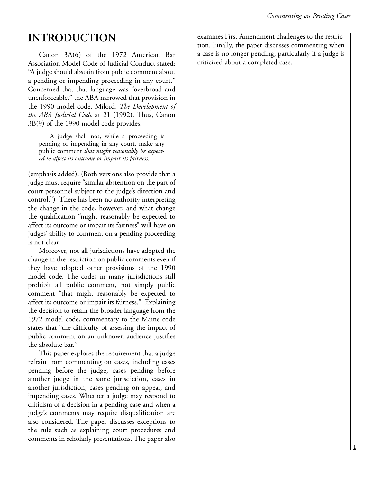### **INTRODUCTION**

Canon 3A(6) of the 1972 American Bar Association Model Code of Judicial Conduct stated: "A judge should abstain from public comment about a pending or impending proceeding in any court." Concerned that that language was "overbroad and unenforceable," the ABA narrowed that provision in the 1990 model code. Milord, *The Development of the ABA Judicial Code* at 21 (1992). Thus, Canon 3B(9) of the 1990 model code provides:

A judge shall not, while a proceeding is pending or impending in any court, make any public comment *that might reasonably be expected to affect its outcome or impair its fairness.*

(emphasis added). (Both versions also provide that a judge must require "similar abstention on the part of court personnel subject to the judge's direction and control.") There has been no authority interpreting the change in the code, however, and what change the qualification "might reasonably be expected to affect its outcome or impair its fairness" will have on judges' ability to comment on a pending proceeding is not clear.

Moreover, not all jurisdictions have adopted the change in the restriction on public comments even if they have adopted other provisions of the 1990 model code. The codes in many jurisdictions still prohibit all public comment, not simply public comment "that might reasonably be expected to affect its outcome or impair its fairness." Explaining the decision to retain the broader language from the 1972 model code, commentary to the Maine code states that "the difficulty of assessing the impact of public comment on an unknown audience justifies the absolute bar."

This paper explores the requirement that a judge refrain from commenting on cases, including cases pending before the judge, cases pending before another judge in the same jurisdiction, cases in another jurisdiction, cases pending on appeal, and impending cases. Whether a judge may respond to criticism of a decision in a pending case and when a judge's comments may require disqualification are also considered. The paper discusses exceptions to the rule such as explaining court procedures and comments in scholarly presentations. The paper also

examines First Amendment challenges to the restriction. Finally, the paper discusses commenting when a case is no longer pending, particularly if a judge is criticized about a completed case.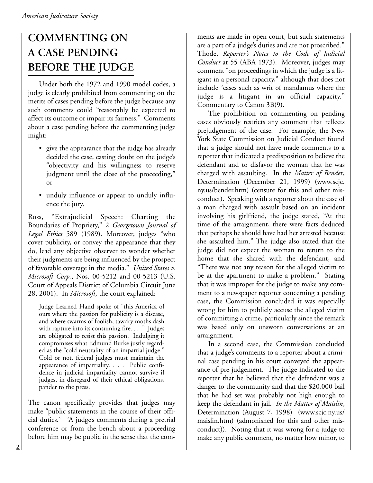# **COMMENTING ON A CASE PENDING BEFORE THE JUDGE**

Under both the 1972 and 1990 model codes, a judge is clearly prohibited from commenting on the merits of cases pending before the judge because any such comments could "reasonably be expected to affect its outcome or impair its fairness." Comments about a case pending before the commenting judge might:

- give the appearance that the judge has already decided the case, casting doubt on the judge's "objectivity and his willingness to reserve judgment until the close of the proceeding," or
- unduly influence or appear to unduly influence the jury.

Ross, "Extrajudicial Speech: Charting the Boundaries of Propriety," 2 *Georgetown Journal of Legal Ethics* 589 (1989). Moreover, judges "who covet publicity, or convey the appearance that they do, lead any objective observer to wonder whether their judgments are being influenced by the prospect of favorable coverage in the media." *United States v. Microsoft Corp.*, Nos. 00-5212 and 00-5213 (U.S. Court of Appeals District of Columbia Circuit June 28, 2001). In *Microsoft*, the court explained:

Judge Learned Hand spoke of "this America of ours where the passion for publicity is a disease, and where swarms of foolish, tawdry moths dash with rapture into its consuming fire. . . ." Judges are obligated to resist this passion. Indulging it compromises what Edmund Burke justly regarded as the "cold neutrality of an impartial judge." Cold or not, federal judges must maintain the appearance of impartiality. . . . Public confidence in judicial impartiality cannot survive if judges, in disregard of their ethical obligations, pander to the press.

The canon specifically provides that judges may make "public statements in the course of their official duties." "A judge's comments during a pretrial conference or from the bench about a proceeding before him may be public in the sense that the comments are made in open court, but such statements are a part of a judge's duties and are not proscribed." Thode, *Reporter's Notes to the Code of Judicial Conduct* at 55 (ABA 1973). Moreover, judges may comment "on proceedings in which the judge is a litigant in a personal capacity," although that does not include "cases such as writ of mandamus where the judge is a litigant in an official capacity." Commentary to Canon 3B(9).

The prohibition on commenting on pending cases obviously restricts any comment that reflects prejudgement of the case. For example, the New York State Commission on Judicial Conduct found that a judge should not have made comments to a reporter that indicated a predisposition to believe the defendant and to disfavor the woman that he was charged with assaulting. In the *Matter of Bender*, Determination (December 21, 1999) (www.scjc. ny.us/bender.htm) (censure for this and other misconduct). Speaking with a reporter about the case of a man charged with assault based on an incident involving his girlfriend, the judge stated, "At the time of the arraignment, there were facts deduced that perhaps he should have had her arrested because she assaulted him." The judge also stated that the judge did not expect the woman to return to the home that she shared with the defendant, and "There was not any reason for the alleged victim to be at the apartment to make a problem." Stating that it was improper for the judge to make any comment to a newspaper reporter concerning a pending case, the Commission concluded it was especially wrong for him to publicly accuse the alleged victim of committing a crime, particularly since the remark was based only on unsworn conversations at an arraignment.

In a second case, the Commission concluded that a judge's comments to a reporter about a criminal case pending in his court conveyed the appearance of pre-judgement. The judge indicated to the reporter that he believed that the defendant was a danger to the community and that the \$20,000 bail that he had set was probably not high enough to keep the defendant in jail. *In the Matter of Maislin*, Determination (August 7, 1998) (www.scjc.ny.us/ maislin.htm) (admonished for this and other misconduct)). Noting that it was wrong for a judge to make any public comment, no matter how minor, to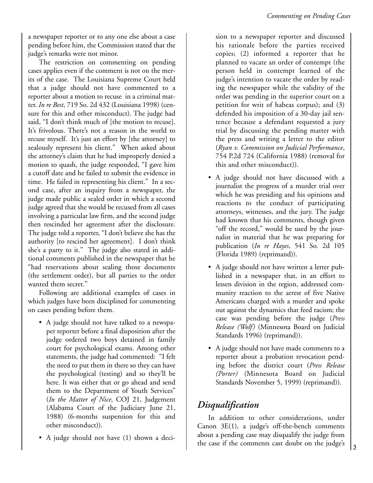a newspaper reporter or to any one else about a case pending before him, the Commission stated that the judge's remarks were not minor.

The restriction on commenting on pending cases applies even if the comment is not on the merits of the case. The Louisiana Supreme Court held that a judge should not have commented to a reporter about a motion to recuse in a criminal matter. *In re Best*, 719 So. 2d 432 (Louisiana 1998) (censure for this and other misconduct). The judge had said, "I don't think much of [the motion to recuse]. It's frivolous. There's not a reason in the world to recuse myself. It's just an effort by [the attorney] to zealously represent his client." When asked about the attorney's claim that he had improperly denied a motion to quash, the judge responded, "I gave him a cutoff date and he failed to submit the evidence in time. He failed in representing his client." In a second case, after an inquiry from a newspaper, the judge made public a sealed order in which a second judge agreed that she would be recused from all cases involving a particular law firm, and the second judge then rescinded her agreement after the disclosure. The judge told a reporter, "I don't believe she has the authority [to rescind her agreement]. I don't think she's a party to it." The judge also stated in additional comments published in the newspaper that he "had reservations about sealing those documents (the settlement order), but all parties to the order wanted them secret."

Following are additional examples of cases in which judges have been disciplined for commenting on cases pending before them.

- A judge should not have talked to a newspaper reporter before a final disposition after the judge ordered two boys detained in family court for psychological exams. Among other statements, the judge had commented: "I felt the need to put them in there so they can have the psychological (testing) and so they'll be here. It was either that or go ahead and send them to the Department of Youth Services" (*In the Matter of Nice*, COJ 21, Judgement (Alabama Court of the Judiciary June 21, 1988) (6-months suspension for this and other misconduct)).
- A judge should not have (1) shown a deci-

sion to a newspaper reporter and discussed his rationale before the parties received copies; (2) informed a reporter that he planned to vacate an order of contempt (the person held in contempt learned of the judge's intention to vacate the order by reading the newspaper while the validity of the order was pending in the superior court on a petition for writ of habeas corpus); and (3) defended his imposition of a 30-day jail sentence because a defendant requested a jury trial by discussing the pending matter with the press and writing a letter to the editor (*Ryan v. Commission on Judicial Performance*, 754 P.2d 724 (California 1988) (removal for this and other misconduct)).

- A judge should not have discussed with a journalist the progress of a murder trial over which he was presiding and his opinions and reactions to the conduct of participating attorneys, witnesses, and the jury. The judge had known that his comments, though given "off the record," would be used by the journalist in material that he was preparing for publication (*In re Hayes*, 541 So. 2d 105 (Florida 1989) (reprimand)).
- A judge should not have written a letter published in a newspaper that, in an effort to lessen division in the region, addressed community reaction to the arrest of five Native Americans charged with a murder and spoke out against the dynamics that feed racism; the case was pending before the judge (*Press Release (Wolf)* (Minnesota Board on Judicial Standards 1996) (reprimand)).
- A judge should not have made comments to a reporter about a probation revocation pending before the district court (*Press Release (Porter)* (Minnesota Board on Judicial Standards November 5, 1999) (reprimand)).

#### *Disqualification*

In addition to other considerations, under Canon 3E(1), a judge's off-the-bench comments about a pending case may disqualify the judge from the case if the comments cast doubt on the judge's  $\begin{bmatrix} 3 \end{bmatrix}$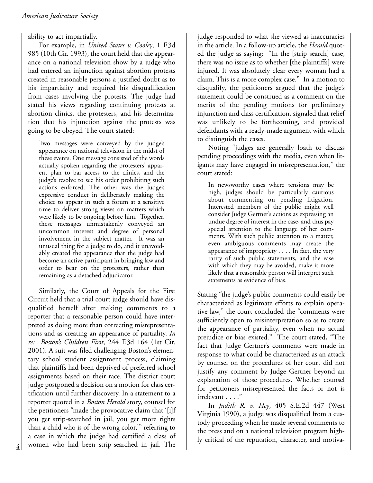ability to act impartially.

For example, in *United States v. Cooley*, 1 F.3d 985 (10th Cir. 1993), the court held that the appearance on a national television show by a judge who had entered an injunction against abortion protests created in reasonable persons a justified doubt as to his impartiality and required his disqualification from cases involving the protests. The judge had stated his views regarding continuing protests at abortion clinics, the protesters, and his determination that his injunction against the protests was going to be obeyed. The court stated:

Two messages were conveyed by the judge's appearance on national television in the midst of these events. One message consisted of the words actually spoken regarding the protesters' apparent plan to bar access to the clinics, and the judge's resolve to see his order prohibiting such actions enforced. The other was the judge's expressive conduct in deliberately making the choice to appear in such a forum at a sensitive time to deliver strong views on matters which were likely to be ongoing before him. Together, these messages unmistakenly conveyed an uncommon interest and degree of personal involvement in the subject matter. It was an unusual thing for a judge to do, and it unavoidably created the appearance that the judge had become an active participant in bringing law and order to bear on the protesters, rather than remaining as a detached adjudicator.

Similarly, the Court of Appeals for the First Circuit held that a trial court judge should have disqualified herself after making comments to a reporter that a reasonable person could have interpreted as doing more than correcting misrepresentations and as creating an appearance of partiality. *In re: Boston's Children First*, 244 F.3d 164 (1st Cir. 2001). A suit was filed challenging Boston's elementary school student assignment process, claiming that plaintiffs had been deprived of preferred school assignments based on their race. The district court judge postponed a decision on a motion for class certification until further discovery. In a statement to a reporter quoted in a *Boston Herald* story, counsel for the petitioners "made the provocative claim that '[i]f you get strip-searched in jail, you get more rights than a child who is of the wrong color,'" referring to a case in which the judge had certified a class of women who had been strip-searched in jail. The

**4**

judge responded to what she viewed as inaccuracies in the article. In a follow-up article, the *Herald* quoted the judge as saying: "In the [strip search] case, there was no issue as to whether [the plaintiffs] were injured. It was absolutely clear every woman had a claim. This is a more complex case." In a motion to disqualify, the petitioners argued that the judge's statement could be construed as a comment on the merits of the pending motions for preliminary injunction and class certification, signaled that relief was unlikely to be forthcoming, and provided defendants with a ready-made argument with which to distinguish the cases.

Noting "judges are generally loath to discuss pending proceedings with the media, even when litigants may have engaged in misrepresentation," the court stated:

In newsworthy cases where tensions may be high, judges should be particularly cautious about commenting on pending litigation. Interested members of the public might well consider Judge Gertner's actions as expressing an undue degree of interest in the case, and thus pay special attention to the language of her comments. With such public attention to a matter, even ambiguous comments may create the appearance of impropriety . . . . In fact, the very rarity of such public statements, and the ease with which they may be avoided, make it more likely that a reasonable person will interpret such statements as evidence of bias.

Stating "the judge's public comments could easily be characterized as legitimate efforts to explain operative law," the court concluded the "comments were sufficiently open to misinterpretation so as to create the appearance of partiality, even when no actual prejudice or bias existed." The court stated, "The fact that Judge Gertner's comments were made in response to what could be characterized as an attack by counsel on the procedures of her court did not justify any comment by Judge Gertner beyond an explanation of those procedures. Whether counsel for petitioners misrepresented the facts or not is irrelevant . . . ."

In *Judith R. v. Hey*, 405 S.E.2d 447 (West Virginia 1990), a judge was disqualified from a custody proceeding when he made several comments to the press and on a national television program highly critical of the reputation, character, and motiva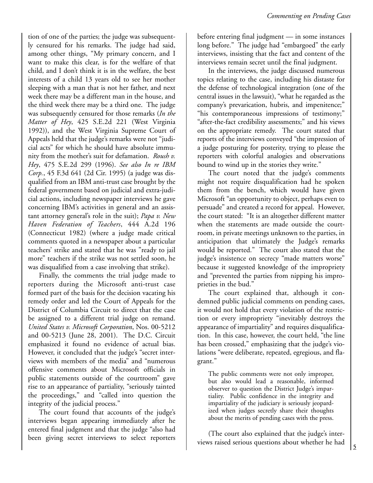tion of one of the parties; the judge was subsequently censured for his remarks. The judge had said, among other things, "My primary concern, and I want to make this clear, is for the welfare of that child, and I don't think it is in the welfare, the best interests of a child 13 years old to see her mother sleeping with a man that is not her father, and next week there may be a different man in the house, and the third week there may be a third one. The judge was subsequently censured for those remarks (*In the Matter of Hey*, 425 S.E.2d 221 (West Virginia 1992)), and the West Virginia Supreme Court of Appeals held that the judge's remarks were not "judicial acts" for which he should have absolute immunity from the mother's suit for defamation. *Roush v. Hey*, 475 S.E.2d 299 (1996). *See also In re IBM Corp.*, 45 F.3d 641 (2d Cir. 1995) (a judge was disqualified from an IBM anti-trust case brought by the federal government based on judicial and extra-judicial actions, including newspaper interviews he gave concerning IBM's activities in general and an assistant attorney general's role in the suit); *Papa v. New Haven Federation of Teachers*, 444 A.2d 196 (Connecticut 1982) (where a judge made critical comments quoted in a newspaper about a particular teachers' strike and stated that he was "ready to jail more" teachers if the strike was not settled soon, he was disqualified from a case involving that strike).

Finally, the comments the trial judge made to reporters during the Microsoft anti-trust case formed part of the basis for the decision vacating his remedy order and led the Court of Appeals for the District of Columbia Circuit to direct that the case be assigned to a different trial judge on remand. *United States v. Microsoft Corporation*, Nos. 00-5212 and 00-5213 (June 28, 2001). The D.C. Circuit emphasized it found no evidence of actual bias. However, it concluded that the judge's "secret interviews with members of the media" and "numerous offensive comments about Microsoft officials in public statements outside of the courtroom" gave rise to an appearance of partiality, "seriously tainted the proceedings," and "called into question the integrity of the judicial process."

The court found that accounts of the judge's interviews began appearing immediately after he entered final judgment and that the judge "also had been giving secret interviews to select reporters before entering final judgment — in some instances long before." The judge had "embargoed" the early interviews, insisting that the fact and content of the interviews remain secret until the final judgment.

In the interviews, the judge discussed numerous topics relating to the case, including his distaste for the defense of technological integration (one of the central issues in the lawsuit), "what he regarded as the company's prevarication, hubris, and impenitence;" "his contemporaneous impressions of testimony;" "after-the-fact credibility assessments;" and his views on the appropriate remedy. The court stated that reports of the interviews conveyed "the impression of a judge posturing for posterity, trying to please the reporters with colorful analogies and observations bound to wind up in the stories they write."

The court noted that the judge's comments might not require disqualification had he spoken them from the bench, which would have given Microsoft "an opportunity to object, perhaps even to persuade" and created a record for appeal. However, the court stated: "It is an altogether different matter when the statements are made outside the courtroom, in private meetings unknown to the parties, in anticipation that ultimately the Judge's remarks would be reported." The court also stated that the judge's insistence on secrecy "made matters worse" because it suggested knowledge of the impropriety and "prevented the parties from nipping his improprieties in the bud."

The court explained that, although it condemned public judicial comments on pending cases, it would not hold that every violation of the restriction or every impropriety "inevitably destroys the appearance of impartiality" and requires disqualification. In this case, however, the court held, "the line has been crossed," emphasizing that the judge's violations "were deliberate, repeated, egregious, and flagrant."

The public comments were not only improper, but also would lead a reasonable, informed observer to question the District Judge's impartiality. Public confidence in the integrity and impartiality of the judiciary is seriously jeopardized when judges secretly share their thoughts about the merits of pending cases with the press.

(The court also explained that the judge's interviews raised serious questions about whether he had  $\begin{bmatrix} 5 \end{bmatrix}$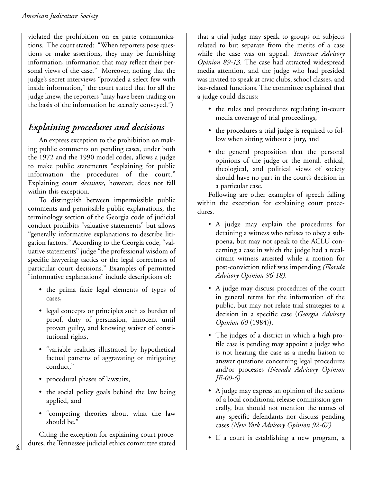violated the prohibition on ex parte communications. The court stated: "When reporters pose questions or make assertions, they may be furnishing information, information that may reflect their personal views of the case." Moreover, noting that the judge's secret interviews "provided a select few with inside information," the court stated that for all the judge knew, the reporters "may have been trading on the basis of the information he secretly conveyed.")

### *Explaining procedures and decisions*

An express exception to the prohibition on making public comments on pending cases, under both the 1972 and the 1990 model codes, allows a judge to make public statements "explaining for public information the procedures of the court." Explaining court *decisions*, however, does not fall within this exception.

To distinguish between impermissible public comments and permissible public explanations, the terminology section of the Georgia code of judicial conduct prohibits "valuative statements" but allows "generally informative explanations to describe litigation factors." According to the Georgia code, "valuative statements" judge "the professional wisdom of specific lawyering tactics or the legal correctness of particular court decisions." Examples of permitted "informative explanations" include descriptions of:

- the prima facie legal elements of types of cases,
- legal concepts or principles such as burden of proof, duty of persuasion, innocent until proven guilty, and knowing waiver of constitutional rights,
- "variable realities illustrated by hypothetical factual patterns of aggravating or mitigating conduct,"
- procedural phases of lawsuits,
- the social policy goals behind the law being applied, and
- "competing theories about what the law should be.'

Citing the exception for explaining court procedures, the Tennessee judicial ethics committee stated that a trial judge may speak to groups on subjects related to but separate from the merits of a case while the case was on appeal. *Tennessee Advisory Opinion 89-13.* The case had attracted widespread media attention, and the judge who had presided was invited to speak at civic clubs, school classes, and bar-related functions. The committee explained that a judge could discuss:

- the rules and procedures regulating in-court media coverage of trial proceedings,
- the procedures a trial judge is required to follow when sitting without a jury, and
- the general proposition that the personal opinions of the judge or the moral, ethical, theological, and political views of society should have no part in the court's decision in a particular case.

Following are other examples of speech falling within the exception for explaining court procedures.

- A judge may explain the procedures for detaining a witness who refuses to obey a subpoena, but may not speak to the ACLU concerning a case in which the judge had a recalcitrant witness arrested while a motion for post-conviction relief was impending *(Florida Advisory Opinion 96-18)*.
- A judge may discuss procedures of the court in general terms for the information of the public, but may not relate trial strategies to a decision in a specific case (*Georgia Advisory Opinion 60* (1984)).
- The judges of a district in which a high profile case is pending may appoint a judge who is not hearing the case as a media liaison to answer questions concerning legal procedures and/or processes *(Nevada Advisory Opinion JE-00-6)*.
- A judge may express an opinion of the actions of a local conditional release commission generally, but should not mention the names of any specific defendants nor discuss pending cases *(New York Advisory Opinion 92-67)*.
- If a court is establishing a new program, a

**6**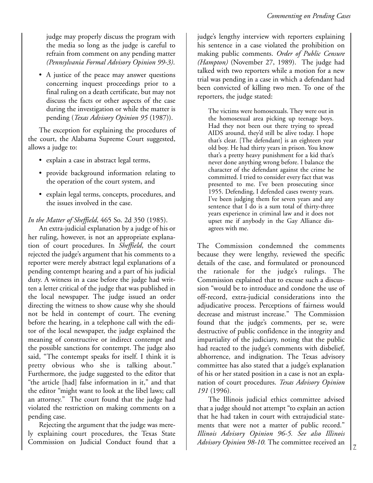judge may properly discuss the program with the media so long as the judge is careful to refrain from comment on any pending matter *(Pennsylvania Formal Advisory Opinion 99-3)*.

• A justice of the peace may answer questions concerning inquest proceedings prior to a final ruling on a death certificate, but may not discuss the facts or other aspects of the case during the investigation or while the matter is pending (*Texas Advisory Opinion 95* (1987)).

The exception for explaining the procedures of the court, the Alabama Supreme Court suggested, allows a judge to:

- explain a case in abstract legal terms,
- provide background information relating to the operation of the court system, and
- explain legal terms, concepts, procedures, and the issues involved in the case.

*In the Matter of Sheffield*, 465 So. 2d 350 (1985).

An extra-judicial explanation by a judge of his or her ruling, however, is not an appropriate explanation of court procedures. In *Sheffield*, the court rejected the judge's argument that his comments to a reporter were merely abstract legal explanations of a pending contempt hearing and a part of his judicial duty. A witness in a case before the judge had written a letter critical of the judge that was published in the local newspaper. The judge issued an order directing the witness to show cause why she should not be held in contempt of court. The evening before the hearing, in a telephone call with the editor of the local newspaper, the judge explained the meaning of constructive or indirect contempt and the possible sanctions for contempt. The judge also said, "The contempt speaks for itself. I think it is pretty obvious who she is talking about." Furthermore, the judge suggested to the editor that "the article [had] false information in it," and that the editor "might want to look at the libel laws; call an attorney." The court found that the judge had violated the restriction on making comments on a pending case.

Rejecting the argument that the judge was merely explaining court procedures, the Texas State Commission on Judicial Conduct found that a judge's lengthy interview with reporters explaining his sentence in a case violated the prohibition on making public comments. *Order of Public Censure (Hampton)* (November 27, 1989). The judge had talked with two reporters while a motion for a new trial was pending in a case in which a defendant had been convicted of killing two men. To one of the reporters, the judge stated:

The victims were homosexuals. They were out in the homosexual area picking up teenage boys. Had they not been out there trying to spread AIDS around, they'd still be alive today. I hope that's clear. [The defendant] is an eighteen year old boy. He had thirty years in prison. You know that's a pretty heavy punishment for a kid that's never done anything wrong before. I balance the character of the defendant against the crime he committed. I tried to consider every fact that was presented to me. I've been prosecuting since 1955. Defending, I defended cases twenty years. I've been judging them for seven years and any sentence that I do is a sum total of thirty-three years experience in criminal law and it does not upset me if anybody in the Gay Alliance disagrees with me.

The Commission condemned the comments because they were lengthy, reviewed the specific details of the case, and formulated or pronounced the rationale for the judge's rulings. The Commission explained that to excuse such a discussion "would be to introduce and condone the use of off-record, extra-judicial considerations into the adjudicative process. Perceptions of fairness would decrease and mistrust increase." The Commission found that the judge's comments, per se, were destructive of public confidence in the integrity and impartiality of the judiciary, noting that the public had reacted to the judge's comments with disbelief, abhorrence, and indignation. The Texas advisory committee has also stated that a judge's explanation of his or her stated position in a case is not an explanation of court procedures. *Texas Advisory Opinion 191* (1996).

The Illinois judicial ethics committee advised that a judge should not attempt "to explain an action that he had taken in court with extrajudicial statements that were not a matter of public record." *Illinois Advisory Opinion 96-5. See also Illinois Advisory Opinion 98-10.* The committee received an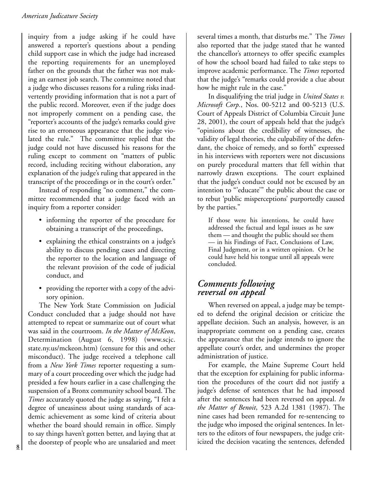inquiry from a judge asking if he could have answered a reporter's questions about a pending child support case in which the judge had increased the reporting requirements for an unemployed father on the grounds that the father was not making an earnest job search. The committee noted that a judge who discusses reasons for a ruling risks inadvertently providing information that is not a part of the public record. Moreover, even if the judge does not improperly comment on a pending case, the "reporter's accounts of the judge's remarks could give rise to an erroneous appearance that the judge violated the rule." The committee replied that the judge could not have discussed his reasons for the ruling except to comment on "matters of public record, including reciting without elaboration, any explanation of the judge's ruling that appeared in the transcript of the proceedings or in the court's order."

Instead of responding "no comment," the committee recommended that a judge faced with an inquiry from a reporter consider:

- informing the reporter of the procedure for obtaining a transcript of the proceedings,
- explaining the ethical constraints on a judge's ability to discuss pending cases and directing the reporter to the location and language of the relevant provision of the code of judicial conduct, and
- providing the reporter with a copy of the advisory opinion.

The New York State Commission on Judicial Conduct concluded that a judge should not have attempted to repeat or summarize out of court what was said in the courtroom. *In the Matter of McKeon*, Determination (August 6, 1998) (www.scjc. state.ny.us/mckeon.htm) (censure for this and other misconduct). The judge received a telephone call from a *New York Times* reporter requesting a summary of a court proceeding over which the judge had presided a few hours earlier in a case challenging the suspension of a Bronx community school board. The *Times* accurately quoted the judge as saying, "I felt a degree of uneasiness about using standards of academic achievement as some kind of criteria about whether the board should remain in office. Simply to say things haven't gotten better, and laying that at the doorstep of people who are unsalaried and meet icized the decision vacating the sentences, defended **<sup>8</sup>**

several times a month, that disturbs me." The *Times* also reported that the judge stated that he wanted the chancellor's attorneys to offer specific examples of how the school board had failed to take steps to improve academic performance. The *Times* reported that the judge's "remarks could provide a clue about how he might rule in the case."

In disqualifying the trial judge in *United States v. Microsoft Corp.*, Nos. 00-5212 and 00-5213 (U.S. Court of Appeals District of Columbia Circuit June 28, 2001), the court of appeals held that the judge's "opinions about the credibility of witnesses, the validity of legal theories, the culpability of the defendant, the choice of remedy, and so forth" expressed in his interviews with reporters were not discussions on purely procedural matters that fell within that narrowly drawn exceptions. The court explained that the judge's conduct could not be excused by an intention to "'educate'" the public about the case or to rebut 'public misperceptions' purportedly caused by the parties."

If those were his intentions, he could have addressed the factual and legal issues as he saw them — and thought the public should see them — in his Findings of Fact, Conclusions of Law, Final Judgment, or in a written opinion. Or he could have held his tongue until all appeals were concluded.

#### *Comments following reversal on appeal*

When reversed on appeal, a judge may be tempted to defend the original decision or criticize the appellate decision. Such an analysis, however, is an inappropriate comment on a pending case, creates the appearance that the judge intends to ignore the appellate court's order, and undermines the proper administration of justice.

For example, the Maine Supreme Court held that the exception for explaining for public information the procedures of the court did not justify a judge's defense of sentences that he had imposed after the sentences had been reversed on appeal. *In the Matter of Benoit*, 523 A.2d 1381 (1987). The nine cases had been remanded for re-sentencing to the judge who imposed the original sentences. In letters to the editors of four newspapers, the judge crit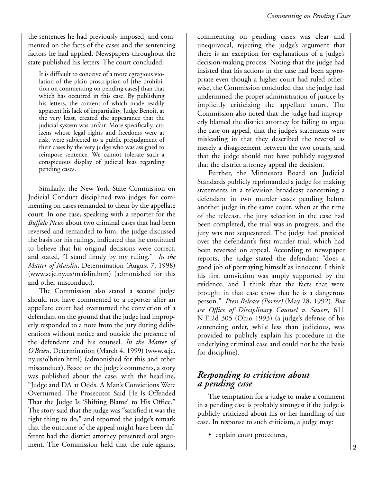the sentences he had previously imposed, and commented on the facts of the cases and the sentencing factors he had applied. Newspapers throughout the state published his letters. The court concluded:

It is difficult to conceive of a more egregious violation of the plain proscription of [the prohibition on commenting on pending cases] than that which has occurred in this case. By publishing his letters, the content of which made readily apparent his lack of impartiality, Judge Benoit, at the very least, created the appearance that the judicial system was unfair. More specifically, citizens whose legal rights and freedoms were at risk, were subjected to a public prejudgment of their cases by the very judge who was assigned to reimpose sentence. We cannot tolerate such a conspicuous display of judicial bias regarding pending cases.

Similarly, the New York State Commission on Judicial Conduct disciplined two judges for commenting on cases remanded to them by the appellate court. In one case, speaking with a reporter for the *Buffalo News* about two criminal cases that had been reversed and remanded to him, the judge discussed the basis for his rulings, indicated that he continued to believe that his original decisions were correct, and stated, "I stand firmly by my ruling." *In the Matter of Maislin*, Determination (August 7, 1998) (www.scjc.ny.us/maislin.htm) (admonished for this and other misconduct).

The Commission also stated a second judge should not have commented to a reporter after an appellate court had overturned the conviction of a defendant on the ground that the judge had improperly responded to a note from the jury during deliberations without notice and outside the presence of the defendant and his counsel. *In the Matter of O'Brien*, Determination (March 4, 1999) (www.scjc. ny.us/o'brien.html) (admonished for this and other misconduct). Based on the judge's comments, a story was published about the case, with the headline, "Judge and DA at Odds. A Man's Convictions Were Overturned. The Prosecutor Said He Is Offended That the Judge Is 'Shifting Blame' to His Office." The story said that the judge was "satisfied it was the right thing to do," and reported the judge's remark that the outcome of the appeal might have been different had the district attorney presented oral argument. The Commission held that the rule against

commenting on pending cases was clear and unequivocal, rejecting the judge's argument that there is an exception for explanations of a judge's decision-making process. Noting that the judge had insisted that his actions in the case had been appropriate even though a higher court had ruled otherwise, the Commission concluded that the judge had undermined the proper administration of justice by implicitly criticizing the appellate court. The Commission also noted that the judge had improperly blamed the district attorney for failing to argue the case on appeal, that the judge's statements were misleading in that they described the reversal as merely a disagreement between the two courts, and that the judge should not have publicly suggested that the district attorney appeal the decision.

Further, the Minnesota Board on Judicial Standards publicly reprimanded a judge for making statements in a television broadcast concerning a defendant in two murder cases pending before another judge in the same court, when at the time of the telecast, the jury selection in the case had been completed, the trial was in progress, and the jury was not sequestered. The judge had presided over the defendant's first murder trial, which had been reversed on appeal. According to newspaper reports, the judge stated the defendant "does a good job of portraying himself as innocent. I think his first conviction was amply supported by the evidence, and I think that the facts that were brought in that case show that he is a dangerous person." *Press Release (Porter)* (May 28, 1992). *But see Office of Disciplinary Counsel v. Souers*, 611 N.E.2d 305 (Ohio 1993) (a judge's defense of his sentencing order, while less than judicious, was provided to publicly explain his procedure in the underlying criminal case and could not be the basis for discipline).

#### *Responding to criticism about a pending case*

The temptation for a judge to make a comment in a pending case is probably strongest if the judge is publicly criticized about his or her handling of the case. In response to such criticism, a judge may:

• explain court procedures,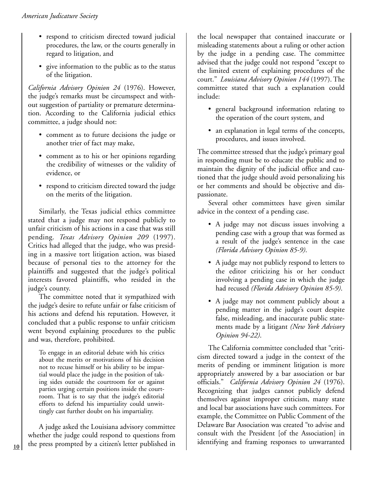- respond to criticism directed toward judicial procedures, the law, or the courts generally in regard to litigation, and
- give information to the public as to the status of the litigation.

*California Advisory Opinion 24* (1976). However, the judge's remarks must be circumspect and without suggestion of partiality or premature determination. According to the California judicial ethics committee, a judge should not:

- comment as to future decisions the judge or another trier of fact may make,
- comment as to his or her opinions regarding the credibility of witnesses or the validity of evidence, or
- respond to criticism directed toward the judge on the merits of the litigation.

Similarly, the Texas judicial ethics committee stated that a judge may not respond publicly to unfair criticism of his actions in a case that was still pending. *Texas Advisory Opinion 209* (1997). Critics had alleged that the judge, who was presiding in a massive tort litigation action, was biased because of personal ties to the attorney for the plaintiffs and suggested that the judge's political interests favored plaintiffs, who resided in the judge's county.

The committee noted that it sympathized with the judge's desire to refute unfair or false criticism of his actions and defend his reputation. However, it concluded that a public response to unfair criticism went beyond explaining procedures to the public and was, therefore, prohibited.

To engage in an editorial debate with his critics about the merits or motivations of his decision not to recuse himself or his ability to be impartial would place the judge in the position of taking sides outside the courtroom for or against parties urging certain positions inside the courtroom. That is to say that the judge's editorial efforts to defend his impartiality could unwittingly cast further doubt on his impartiality.

A judge asked the Louisiana advisory committee whether the judge could respond to questions from 10 the press prompted by a citizen's letter published in dentifying and framing responses to unwarranted

the local newspaper that contained inaccurate or misleading statements about a ruling or other action by the judge in a pending case. The committee advised that the judge could not respond "except to the limited extent of explaining procedures of the court." *Louisiana Advisory Opinion 144* (1997). The committee stated that such a explanation could include:

- general background information relating to the operation of the court system, and
- an explanation in legal terms of the concepts, procedures, and issues involved.

The committee stressed that the judge's primary goal in responding must be to educate the public and to maintain the dignity of the judicial office and cautioned that the judge should avoid personalizing his or her comments and should be objective and dispassionate.

Several other committees have given similar advice in the context of a pending case.

- A judge may not discuss issues involving a pending case with a group that was formed as a result of the judge's sentence in the case *(Florida Advisory Opinion 85-9)*.
- A judge may not publicly respond to letters to the editor criticizing his or her conduct involving a pending case in which the judge had recused *(Florida Advisory Opinion 85-9)*.
- A judge may not comment publicly about a pending matter in the judge's court despite false, misleading, and inaccurate public statements made by a litigant *(New York Advisory Opinion 94-22)*.

The California committee concluded that "criticism directed toward a judge in the context of the merits of pending or imminent litigation is more appropriately answered by a bar association or bar officials." *California Advisory Opinion 24* (1976). Recognizing that judges cannot publicly defend themselves against improper criticism, many state and local bar associations have such committees. For example, the Committee on Public Comment of the Delaware Bar Association was created "to advise and consult with the President [of the Association] in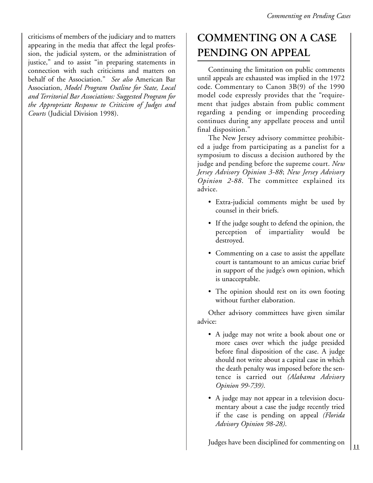criticisms of members of the judiciary and to matters appearing in the media that affect the legal profession, the judicial system, or the administration of justice," and to assist "in preparing statements in connection with such criticisms and matters on behalf of the Association." *See also* American Bar Association, *Model Program Outline for State, Local and Territorial Bar Associations: Suggested Program for the Appropriate Response to Criticism of Judges and Courts* (Judicial Division 1998).

### **COMMENTING ON A CASE PENDING ON APPEAL**

Continuing the limitation on public comments until appeals are exhausted was implied in the 1972 code. Commentary to Canon 3B(9) of the 1990 model code expressly provides that the "requirement that judges abstain from public comment regarding a pending or impending proceeding continues during any appellate process and until final disposition."

The New Jersey advisory committee prohibited a judge from participating as a panelist for a symposium to discuss a decision authored by the judge and pending before the supreme court. *New Jersey Advisory Opinion 3-88*; *New Jersey Advisory Opinion 2-88*. The committee explained its advice.

- Extra-judicial comments might be used by counsel in their briefs.
- If the judge sought to defend the opinion, the perception of impartiality would be destroyed.
- Commenting on a case to assist the appellate court is tantamount to an amicus curiae brief in support of the judge's own opinion, which is unacceptable.
- The opinion should rest on its own footing without further elaboration.

Other advisory committees have given similar advice:

- A judge may not write a book about one or more cases over which the judge presided before final disposition of the case. A judge should not write about a capital case in which the death penalty was imposed before the sentence is carried out *(Alabama Advisory Opinion 99-739)*.
- A judge may not appear in a television documentary about a case the judge recently tried if the case is pending on appeal *(Florida Advisory Opinion 98-28)*.

Judges have been disciplined for commenting on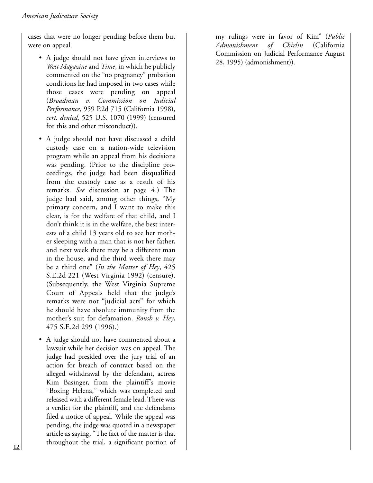cases that were no longer pending before them but were on appeal.

- A judge should not have given interviews to *West Magazine* and *Time*, in which he publicly commented on the "no pregnancy" probation conditions he had imposed in two cases while those cases were pending on appeal (*Broadman v. Commission on Judicial Performance*, 959 P.2d 715 (California 1998), *cert. denied*, 525 U.S. 1070 (1999) (censured for this and other misconduct)).
- A judge should not have discussed a child custody case on a nation-wide television program while an appeal from his decisions was pending. (Prior to the discipline proceedings, the judge had been disqualified from the custody case as a result of his remarks. *See* discussion at page 4.) The judge had said, among other things, "My primary concern, and I want to make this clear, is for the welfare of that child, and I don't think it is in the welfare, the best interests of a child 13 years old to see her mother sleeping with a man that is not her father, and next week there may be a different man in the house, and the third week there may be a third one" (*In the Matter of Hey*, 425 S.E.2d 221 (West Virginia 1992) (censure). (Subsequently, the West Virginia Supreme Court of Appeals held that the judge's remarks were not "judicial acts" for which he should have absolute immunity from the mother's suit for defamation. *Roush v. Hey*, 475 S.E.2d 299 (1996).)
- A judge should not have commented about a lawsuit while her decision was on appeal. The judge had presided over the jury trial of an action for breach of contract based on the alleged withdrawal by the defendant, actress Kim Basinger, from the plaintiff's movie "Boxing Helena," which was completed and released with a different female lead. There was a verdict for the plaintiff, and the defendants filed a notice of appeal. While the appeal was pending, the judge was quoted in a newspaper article as saying, "The fact of the matter is that throughout the trial, a significant portion of

my rulings were in favor of Kim" (*Public Admonishment of Chirlin* (California Commission on Judicial Performance August 28, 1995) (admonishment)).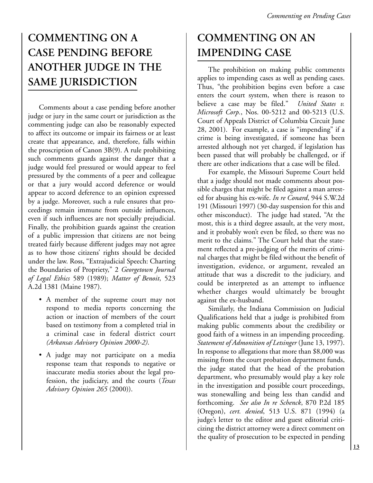## **COMMENTING ON A CASE PENDING BEFORE ANOTHER JUDGE IN THE SAME JURISDICTION**

Comments about a case pending before another judge or jury in the same court or jurisdiction as the commenting judge can also be reasonably expected to affect its outcome or impair its fairness or at least create that appearance, and, therefore, falls within the proscription of Canon 3B(9). A rule prohibiting such comments guards against the danger that a judge would feel pressured or would appear to feel pressured by the comments of a peer and colleague or that a jury would accord deference or would appear to accord deference to an opinion expressed by a judge. Moreover, such a rule ensures that proceedings remain immune from outside influences, even if such influences are not specially prejudicial. Finally, the prohibition guards against the creation of a public impression that citizens are not being treated fairly because different judges may not agree as to how those citizens' rights should be decided under the law. Ross, "Extrajudicial Speech: Charting the Boundaries of Propriety," 2 *Georgetown Journal of Legal Ethics* 589 (1989); *Matter of Benoit*, 523 A.2d 1381 (Maine 1987).

- A member of the supreme court may not respond to media reports concerning the action or inaction of members of the court based on testimony from a completed trial in a criminal case in federal district court *(Arkansas Advisory Opinion 2000-2)*.
- A judge may not participate on a media response team that responds to negative or inaccurate media stories about the legal profession, the judiciary, and the courts (*Texas Advisory Opinion 265* (2000)).

### **COMMENTING ON AN IMPENDING CASE**

The prohibition on making public comments applies to impending cases as well as pending cases. Thus, "the prohibition begins even before a case enters the court system, when there is reason to believe a case may be filed." *United States v. Microsoft Corp.*, Nos. 00-5212 and 00-5213 (U.S. Court of Appeals District of Columbia Circuit June 28, 2001). For example, a case is "impending" if a crime is being investigated, if someone has been arrested although not yet charged, if legislation has been passed that will probably be challenged, or if there are other indications that a case will be filed.

For example, the Missouri Supreme Court held that a judge should not made comments about possible charges that might be filed against a man arrested for abusing his ex-wife. *In re Conard*, 944 S.W.2d 191 (Missouri 1997) (30-day suspension for this and other misconduct). The judge had stated, "At the most, this is a third degree assault, at the very most, and it probably won't even be filed, so there was no merit to the claims." The Court held that the statement reflected a pre-judging of the merits of criminal charges that might be filed without the benefit of investigation, evidence, or argument, revealed an attitude that was a discredit to the judiciary, and could be interpreted as an attempt to influence whether charges would ultimately be brought against the ex-husband.

Similarly, the Indiana Commission on Judicial Qualifications held that a judge is prohibited from making public comments about the credibility or good faith of a witness in an impending proceeding. *Statement of Admonition of Letsinger* (June 13, 1997). In response to allegations that more than \$8,000 was missing from the court probation department funds, the judge stated that the head of the probation department, who presumably would play a key role in the investigation and possible court proceedings, was stonewalling and being less than candid and forthcoming. *See also In re Schenck*, 870 P.2d 185 (Oregon), *cert. denied*, 513 U.S. 871 (1994) (a judge's letter to the editor and guest editorial criticizing the district attorney were a direct comment on the quality of prosecution to be expected in pending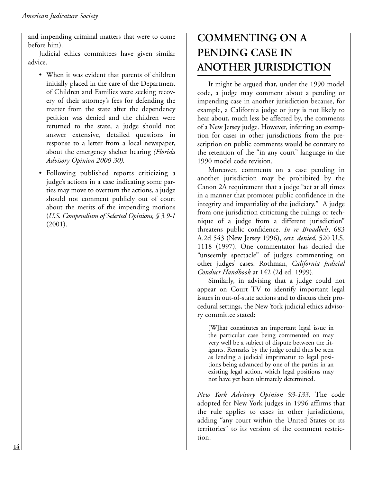and impending criminal matters that were to come before him).

Judicial ethics committees have given similar advice.

- When it was evident that parents of children initially placed in the care of the Department of Children and Families were seeking recovery of their attorney's fees for defending the matter from the state after the dependency petition was denied and the children were returned to the state, a judge should not answer extensive, detailed questions in response to a letter from a local newspaper, about the emergency shelter hearing *(Florida Advisory Opinion 2000-30).*
- Following published reports criticizing a judge's actions in a case indicating some parties may move to overturn the actions, a judge should not comment publicly out of court about the merits of the impending motions (*U.S. Compendium of Selected Opinions, § 3.9-1* (2001).

### **COMMENTING ON A PENDING CASE IN ANOTHER JURISDICTION**

It might be argued that, under the 1990 model code, a judge may comment about a pending or impending case in another jurisdiction because, for example, a California judge or jury is not likely to hear about, much less be affected by, the comments of a New Jersey judge. However, inferring an exemption for cases in other jurisdictions from the prescription on public comments would be contrary to the retention of the "in any court" language in the 1990 model code revision.

Moreover, comments on a case pending in another jurisdiction may be prohibited by the Canon 2A requirement that a judge "act at all times in a manner that promotes public confidence in the integrity and impartiality of the judiciary." A judge from one jurisdiction criticizing the rulings or technique of a judge from a different jurisdiction" threatens public confidence. *In re Broadbelt*, 683 A.2d 543 (New Jersey 1996), *cert. denied*, 520 U.S. 1118 (1997). One commentator has decried the "unseemly spectacle" of judges commenting on other judges' cases. Rothman, *California Judicial Conduct Handbook* at 142 (2d ed. 1999).

Similarly, in advising that a judge could not appear on Court TV to identify important legal issues in out-of-state actions and to discuss their procedural settings, the New York judicial ethics advisory committee stated:

[W]hat constitutes an important legal issue in the particular case being commented on may very well be a subject of dispute between the litigants. Remarks by the judge could thus be seen as lending a judicial imprimatur to legal positions being advanced by one of the parties in an existing legal action, which legal positions may not have yet been ultimately determined.

*New York Advisory Opinion 93-133.* The code adopted for New York judges in 1996 affirms that the rule applies to cases in other jurisdictions, adding "any court within the United States or its territories" to its version of the comment restriction.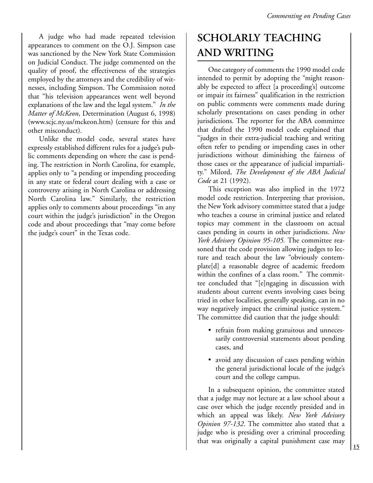A judge who had made repeated television appearances to comment on the O.J. Simpson case was sanctioned by the New York State Commission on Judicial Conduct. The judge commented on the quality of proof, the effectiveness of the strategies employed by the attorneys and the credibility of witnesses, including Simpson. The Commission noted that "his television appearances went well beyond explanations of the law and the legal system." *In the Matter of McKeon*, Determination (August 6, 1998) (www.scjc.ny.us/mckeon.htm) (censure for this and other misconduct).

Unlike the model code, several states have expressly established different rules for a judge's public comments depending on where the case is pending. The restriction in North Carolina, for example, applies only to "a pending or impending proceeding in any state or federal court dealing with a case or controversy arising in North Carolina or addressing North Carolina law." Similarly, the restriction applies only to comments about proceedings "in any court within the judge's jurisdiction" in the Oregon code and about proceedings that "may come before the judge's court" in the Texas code.

# **SCHOLARLY TEACHING AND WRITING**

One category of comments the 1990 model code intended to permit by adopting the "might reasonably be expected to affect [a proceeding's] outcome or impair its fairness" qualification in the restriction on public comments were comments made during scholarly presentations on cases pending in other jurisdictions. The reporter for the ABA committee that drafted the 1990 model code explained that "judges in their extra-judicial teaching and writing often refer to pending or impending cases in other jurisdictions without diminishing the fairness of those cases or the appearance of judicial impartiality." Milord, *The Development of the ABA Judicial Code* at 21 (1992).

This exception was also implied in the 1972 model code restriction. Interpreting that provision, the New York advisory committee stated that a judge who teaches a course in criminal justice and related topics may comment in the classroom on actual cases pending in courts in other jurisdictions. *New York Advisory Opinion 95-105.* The committee reasoned that the code provision allowing judges to lecture and teach about the law "obviously contemplate[d] a reasonable degree of academic freedom within the confines of a class room." The committee concluded that "[e]ngaging in discussion with students about current events involving cases being tried in other localities, generally speaking, can in no way negatively impact the criminal justice system." The committee did caution that the judge should:

- refrain from making gratuitous and unnecessarily controversial statements about pending cases, and
- avoid any discussion of cases pending within the general jurisdictional locale of the judge's court and the college campus.

In a subsequent opinion, the committee stated that a judge may not lecture at a law school about a case over which the judge recently presided and in which an appeal was likely. *New York Advisory Opinion 97-132*. The committee also stated that a judge who is presiding over a criminal proceeding that was originally a capital punishment case may  $\begin{bmatrix} 15 \end{bmatrix}$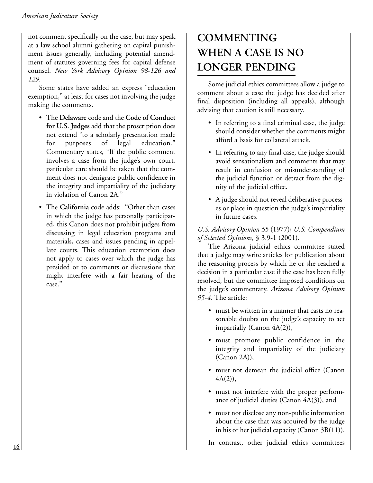not comment specifically on the case, but may speak at a law school alumni gathering on capital punishment issues generally, including potential amendment of statutes governing fees for capital defense counsel. *New York Advisory Opinion 98-126 and 129*.

Some states have added an express "education exemption," at least for cases not involving the judge making the comments.

- The **Delaware** code and the **Code of Conduct for U.S. Judges** add that the proscription does not extend "to a scholarly presentation made for purposes of legal education." Commentary states, "If the public comment involves a case from the judge's own court, particular care should be taken that the comment does not denigrate public confidence in the integrity and impartiality of the judiciary in violation of Canon 2A."
- The **California** code adds: "Other than cases in which the judge has personally participated, this Canon does not prohibit judges from discussing in legal education programs and materials, cases and issues pending in appellate courts. This education exemption does not apply to cases over which the judge has presided or to comments or discussions that might interfere with a fair hearing of the case."

# **COMMENTING WHEN A CASE IS NO LONGER PENDING**

Some judicial ethics committees allow a judge to comment about a case the judge has decided after final disposition (including all appeals), although advising that caution is still necessary.

- In referring to a final criminal case, the judge should consider whether the comments might afford a basis for collateral attack.
- In referring to any final case, the judge should avoid sensationalism and comments that may result in confusion or misunderstanding of the judicial function or detract from the dignity of the judicial office.
- A judge should not reveal deliberative processes or place in question the judge's impartiality in future cases.

#### *U.S. Advisory Opinion 55* (1977); *U.S. Compendium of Selected Opinions*, § 3.9-1 (2001).

The Arizona judicial ethics committee stated that a judge may write articles for publication about the reasoning process by which he or she reached a decision in a particular case if the case has been fully resolved, but the committee imposed conditions on the judge's commentary. *Arizona Advisory Opinion 95-4.* The article:

- must be written in a manner that casts no reasonable doubts on the judge's capacity to act impartially (Canon 4A(2)),
- must promote public confidence in the integrity and impartiality of the judiciary (Canon 2A)),
- must not demean the judicial office (Canon  $4A(2)$ ,
- must not interfere with the proper performance of judicial duties (Canon 4A(3)), and
- must not disclose any non-public information about the case that was acquired by the judge in his or her judicial capacity (Canon 3B(11)).

In contrast, other judicial ethics committees **<sup>16</sup>**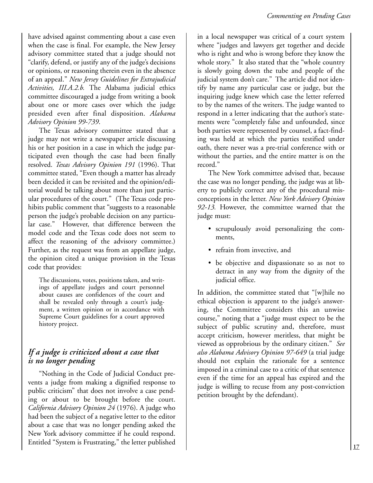have advised against commenting about a case even when the case is final. For example, the New Jersey advisory committee stated that a judge should not "clarify, defend, or justify any of the judge's decisions or opinions, or reasoning therein even in the absence of an appeal." *New Jersey Guidelines for Extrajudicial Activities, III.A.2.b.* The Alabama judicial ethics committee discouraged a judge from writing a book about one or more cases over which the judge presided even after final disposition. *Alabama Advisory Opinion 99-739*.

The Texas advisory committee stated that a judge may not write a newspaper article discussing his or her position in a case in which the judge participated even though the case had been finally resolved. *Texas Advisory Opinion 191* (1996). That committee stated, "Even though a matter has already been decided it can be revisited and the opinion/editorial would be talking about more than just particular procedures of the court." (The Texas code prohibits public comment that "suggests to a reasonable person the judge's probable decision on any particular case." However, that difference between the model code and the Texas code does not seem to affect the reasoning of the advisory committee.) Further, as the request was from an appellate judge, the opinion cited a unique provision in the Texas code that provides:

The discussions, votes, positions taken, and writings of appellate judges and court personnel about causes are confidences of the court and shall be revealed only through a court's judgment, a written opinion or in accordance with Supreme Court guidelines for a court approved history project.

#### *If a judge is criticized about a case that is no longer pending*

"Nothing in the Code of Judicial Conduct prevents a judge from making a dignified response to public criticism" that does not involve a case pending or about to be brought before the court. *California Advisory Opinion 24* (1976). A judge who had been the subject of a negative letter to the editor about a case that was no longer pending asked the New York advisory committee if he could respond. Entitled "System is Frustrating," the letter published

in a local newspaper was critical of a court system where "judges and lawyers get together and decide who is right and who is wrong before they know the whole story." It also stated that the "whole country is slowly going down the tube and people of the judicial system don't care." The article did not identify by name any particular case or judge, but the inquiring judge knew which case the letter referred to by the names of the writers. The judge wanted to respond in a letter indicating that the author's statements were "completely false and unfounded, since both parties were represented by counsel, a fact-finding was held at which the parties testified under oath, there never was a pre-trial conference with or without the parties, and the entire matter is on the record."

The New York committee advised that, because the case was no longer pending, the judge was at liberty to publicly correct any of the procedural misconceptions in the letter. *New York Advisory Opinion 92-13.* However, the committee warned that the judge must:

- scrupulously avoid personalizing the comments,
- refrain from invective, and
- be objective and dispassionate so as not to detract in any way from the dignity of the judicial office.

In addition, the committee stated that "[w]hile no ethical objection is apparent to the judge's answering, the Committee considers this an unwise course," noting that a "judge must expect to be the subject of public scrutiny and, therefore, must accept criticism, however meritless, that might be viewed as opprobrious by the ordinary citizen." *See also Alabama Advisory Opinion 97-649* (a trial judge should not explain the rationale for a sentence imposed in a criminal case to a critic of that sentence even if the time for an appeal has expired and the judge is willing to recuse from any post-conviction petition brought by the defendant).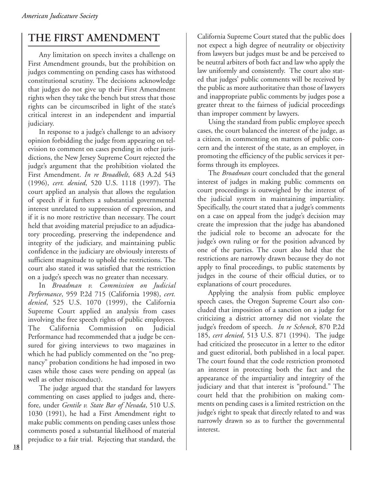### **THE FIRST AMENDMENT**

Any limitation on speech invites a challenge on First Amendment grounds, but the prohibition on judges commenting on pending cases has withstood constitutional scrutiny. The decisions acknowledge that judges do not give up their First Amendment rights when they take the bench but stress that those rights can be circumscribed in light of the state's critical interest in an independent and impartial judiciary.

In response to a judge's challenge to an advisory opinion forbidding the judge from appearing on television to comment on cases pending in other jurisdictions, the New Jersey Supreme Court rejected the judge's argument that the prohibition violated the First Amendment. *In re Broadbelt*, 683 A.2d 543 (1996), *cert. denied*, 520 U.S. 1118 (1997). The court applied an analysis that allows the regulation of speech if it furthers a substantial governmental interest unrelated to suppression of expression, and if it is no more restrictive than necessary. The court held that avoiding material prejudice to an adjudicatory proceeding, preserving the independence and integrity of the judiciary, and maintaining public confidence in the judiciary are obviously interests of sufficient magnitude to uphold the restrictions. The court also stated it was satisfied that the restriction on a judge's speech was no greater than necessary.

In *Broadman v. Commission on Judicial Performance*, 959 P.2d 715 (California 1998), *cert. denied*, 525 U.S. 1070 (1999), the California Supreme Court applied an analysis from cases involving the free speech rights of public employees. The California Commission on Judicial Performance had recommended that a judge be censured for giving interviews to two magazines in which he had publicly commented on the "no pregnancy" probation conditions he had imposed in two cases while those cases were pending on appeal (as well as other misconduct).

The judge argued that the standard for lawyers commenting on cases applied to judges and, therefore, under *Gentile v. State Bar of Nevada*, 510 U.S. 1030 (1991), he had a First Amendment right to make public comments on pending cases unless those comments posed a substantial likelihood of material prejudice to a fair trial. Rejecting that standard, the California Supreme Court stated that the public does not expect a high degree of neutrality or objectivity from lawyers but judges must be and be perceived to be neutral arbiters of both fact and law who apply the law uniformly and consistently. The court also stated that judges' public comments will be received by the public as more authoritative than those of lawyers and inappropriate public comments by judges pose a greater threat to the fairness of judicial proceedings than improper comment by lawyers.

Using the standard from public employee speech cases, the court balanced the interest of the judge, as a citizen, in commenting on matters of public concern and the interest of the state, as an employer, in promoting the efficiency of the public services it performs through its employees.

The *Broadman* court concluded that the general interest of judges in making public comments on court proceedings is outweighed by the interest of the judicial system in maintaining impartiality. Specifically, the court stated that a judge's comments on a case on appeal from the judge's decision may create the impression that the judge has abandoned the judicial role to become an advocate for the judge's own ruling or for the position advanced by one of the parties. The court also held that the restrictions are narrowly drawn because they do not apply to final proceedings, to public statements by judges in the course of their official duties, or to explanations of court procedures.

Applying the analysis from public employee speech cases, the Oregon Supreme Court also concluded that imposition of a sanction on a judge for criticizing a district attorney did not violate the judge's freedom of speech. *In re Schenck*, 870 P.2d 185, *cert denied*, 513 U.S. 871 (1994). The judge had criticized the prosecutor in a letter to the editor and guest editorial, both published in a local paper. The court found that the code restriction promoted an interest in protecting both the fact and the appearance of the impartiality and integrity of the judiciary and that that interest is "profound." The court held that the prohibition on making comments on pending cases is a limited restriction on the judge's right to speak that directly related to and was narrowly drawn so as to further the governmental interest.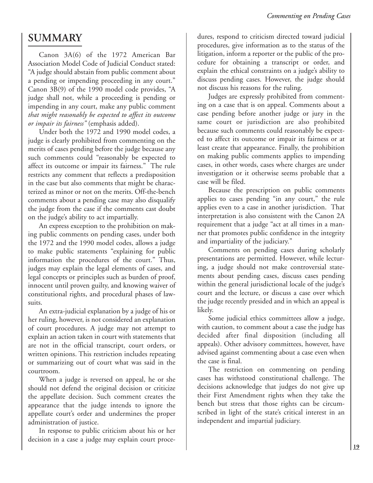### **SUMMARY**

Canon 3A(6) of the 1972 American Bar Association Model Code of Judicial Conduct stated: "A judge should abstain from public comment about a pending or impending proceeding in any court." Canon 3B(9) of the 1990 model code provides, "A judge shall not, while a proceeding is pending or impending in any court, make any public comment *that might reasonably be expected to affect its outcome or impair its fairness"* (emphasis added).

Under both the 1972 and 1990 model codes, a judge is clearly prohibited from commenting on the merits of cases pending before the judge because any such comments could "reasonably be expected to affect its outcome or impair its fairness." The rule restricts any comment that reflects a predisposition in the case but also comments that might be characterized as minor or not on the merits. Off-the-bench comments about a pending case may also disqualify the judge from the case if the comments cast doubt on the judge's ability to act impartially.

An express exception to the prohibition on making public comments on pending cases, under both the 1972 and the 1990 model codes, allows a judge to make public statements "explaining for public information the procedures of the court." Thus, judges may explain the legal elements of cases, and legal concepts or principles such as burden of proof, innocent until proven guilty, and knowing waiver of constitutional rights, and procedural phases of lawsuits.

An extra-judicial explanation by a judge of his or her ruling, however, is not considered an explanation of court procedures. A judge may not attempt to explain an action taken in court with statements that are not in the official transcript, court orders, or written opinions. This restriction includes repeating or summarizing out of court what was said in the courtroom.

When a judge is reversed on appeal, he or she should not defend the original decision or criticize the appellate decision. Such comment creates the appearance that the judge intends to ignore the appellate court's order and undermines the proper administration of justice.

In response to public criticism about his or her decision in a case a judge may explain court procedures, respond to criticism directed toward judicial procedures, give information as to the status of the litigation, inform a reporter or the public of the procedure for obtaining a transcript or order, and explain the ethical constraints on a judge's ability to discuss pending cases. However, the judge should not discuss his reasons for the ruling.

Judges are expressly prohibited from commenting on a case that is on appeal. Comments about a case pending before another judge or jury in the same court or jurisdiction are also prohibited because such comments could reasonably be expected to affect its outcome or impair its fairness or at least create that appearance. Finally, the prohibition on making public comments applies to impending cases, in other words, cases where charges are under investigation or it otherwise seems probable that a case will be filed.

Because the prescription on public comments applies to cases pending "in any court," the rule applies even to a case in another jurisdiction. That interpretation is also consistent with the Canon 2A requirement that a judge "act at all times in a manner that promotes public confidence in the integrity and impartiality of the judiciary."

Comments on pending cases during scholarly presentations are permitted. However, while lecturing, a judge should not make controversial statements about pending cases, discuss cases pending within the general jurisdictional locale of the judge's court and the lecture, or discuss a case over which the judge recently presided and in which an appeal is likely.

Some judicial ethics committees allow a judge, with caution, to comment about a case the judge has decided after final disposition (including all appeals). Other advisory committees, however, have advised against commenting about a case even when the case is final.

The restriction on commenting on pending cases has withstood constitutional challenge. The decisions acknowledge that judges do not give up their First Amendment rights when they take the bench but stress that those rights can be circumscribed in light of the state's critical interest in an independent and impartial judiciary.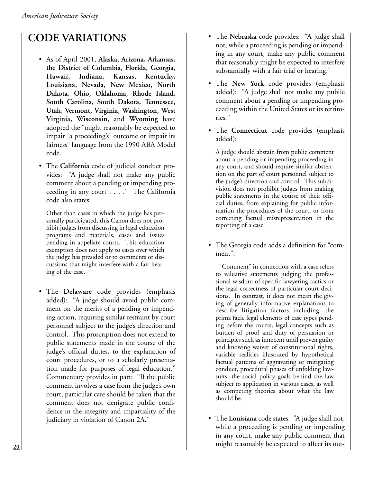# **CODE VARIATIONS**

- As of April 2001, **Alaska, Arizona, Arkansas, the District of Columbia, Florida, Georgia, Hawaii, Indiana, Kansas, Kentucky, Louisiana, Nevada, New Mexico, North Dakota, Ohio, Oklahoma, Rhode Island, South Carolina, South Dakota, Tennessee, Utah, Vermont, Virginia, Washington, West Virginia, Wisconsin**, and **Wyoming** have adopted the "might reasonably be expected to impair [a proceeding's] outcome or impair its fairness" language from the 1990 ABA Model code.
- The **California** code of judicial conduct provides: "A judge shall not make any public comment about a pending or impending proceeding in any court . . . ." The California code also states:

Other than cases in which the judge has personally participated, this Canon does not prohibit judges from discussing in legal education programs and materials, cases and issues pending in appellate courts. This education exemption does not apply to cases over which the judge has presided or to comments or discussions that might interfere with a fair hearing of the case.

• The **Delaware** code provides (emphasis added): "A judge should avoid public comment on the merits of a pending or impending action, requiring similar restraint by court personnel subject to the judge's direction and control. This proscription does not extend to public statements made in the course of the judge's official duties, to the explanation of court procedures, or to a scholarly presentation made for purposes of legal education." Commentary provides in part: "If the public comment involves a case from the judge's own court, particular care should be taken that the comment does not denigrate public confidence in the integrity and impartiality of the judiciary in violation of Canon 2A."

- The **Nebraska** code provides: "A judge shall not, while a proceeding is pending or impending in any court, make any public comment that reasonably might be expected to interfere substantially with a fair trial or hearing."
- The **New York** code provides (emphasis added): "A judge shall not make any public comment about a pending or impending proceeding within the United States or its territories."
- The **Connecticut** code provides (emphasis added):

A judge should abstain from public comment about a pending or impending proceeding in any court, and should require similar abstention on the part of court personnel subject to the judge's direction and control. This subdivision does not prohibit judges from making public statements in the course of their official duties, from explaining for public information the procedures of the court, or from correcting factual misrepresentation in the reporting of a case.

• The Georgia code adds a definition for "comment":

"Comment" in connection with a case refers to valuative statements judging the professional wisdom of specific lawyering tactics or the legal correctness of particular court decisions. In contrast, it does not mean the giving of generally informative explanations to describe litigation factors including: the prima facie legal elements of case types pending before the courts, legal concepts such as burden of proof and duty of persuasion or principles such as innocent until proven guilty and knowing waiver of constitutional rights, variable realities illustrated by hypothetical factual patterns of aggravating or mitigating conduct, procedural phases of unfolding lawsuits, the social policy goals behind the law subject to application in various cases, as well as competing theories about what the law should be.

• The **Louisiana** code states: "A judge shall not, while a proceeding is pending or impending in any court, make any public comment that might reasonably be expected to affect its out- **<sup>20</sup>**